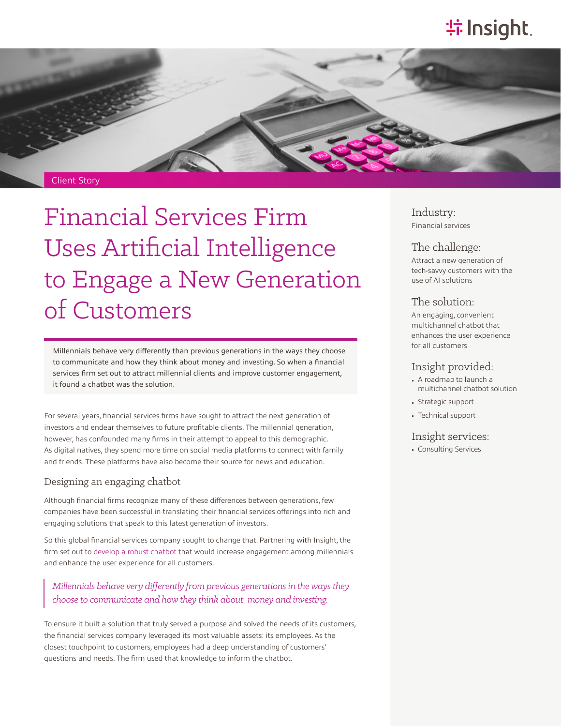# **特Insight**



# Financial Services Firm Uses Artificial Intelligence to Engage a New Generation of Customers

Millennials behave very differently than previous generations in the ways they choose to communicate and how they think about money and investing. So when a financial services firm set out to attract millennial clients and improve customer engagement, it found a chatbot was the solution.

For several years, financial services firms have sought to attract the next generation of investors and endear themselves to future profitable clients. The millennial generation, however, has confounded many firms in their attempt to appeal to this demographic. As digital natives, they spend more time on social media platforms to connect with family and friends. These platforms have also become their source for news and education.

#### Designing an engaging chatbot

Although financial firms recognize many of these differences between generations, few companies have been successful in translating their financial services offerings into rich and engaging solutions that speak to this latest generation of investors.

So this global financial services company sought to change that. Partnering with Insight, the firm set out to [develop a robust chatbot](https://www.insight.com/en_US/learn/content/2018/02142018-5-undisputable-reasons-to-invest-in-chatbot-technology.html) that would increase engagement among millennials and enhance the user experience for all customers.

## *Millennials behave very differently from previous generations in the ways they choose to communicate and how they think about money and investing.*

To ensure it built a solution that truly served a purpose and solved the needs of its customers, the financial services company leveraged its most valuable assets: its employees. As the closest touchpoint to customers, employees had a deep understanding of customers' questions and needs. The firm used that knowledge to inform the chatbot.

Industry: Financial services

#### The challenge:

Attract a new generation of tech-savvy customers with the use of AI solutions

#### The solution:

An engaging, convenient multichannel chatbot that enhances the user experience for all customers

#### Insight provided:

- A roadmap to launch a multichannel chatbot solution
- Strategic support
- Technical support

#### Insight services:

• Consulting Services